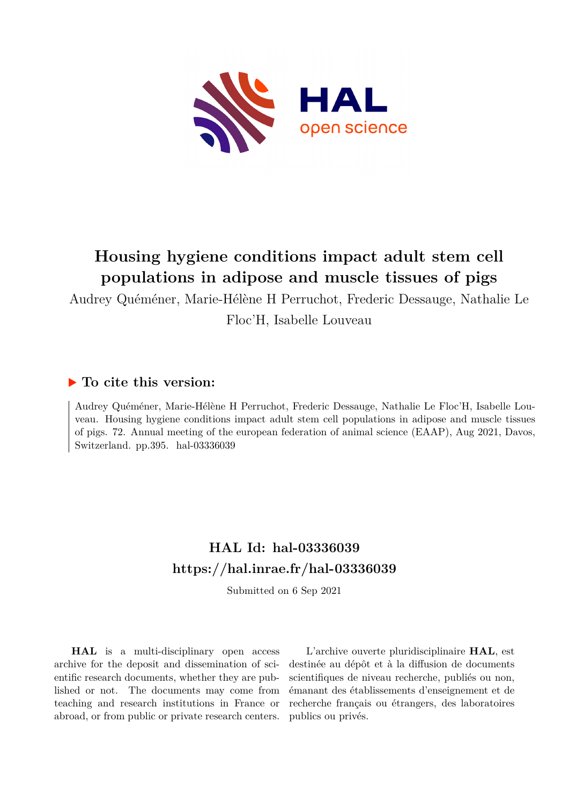

## **Housing hygiene conditions impact adult stem cell populations in adipose and muscle tissues of pigs**

Audrey Quéméner, Marie-Hélène H Perruchot, Frederic Dessauge, Nathalie Le Floc'H, Isabelle Louveau

## **To cite this version:**

Audrey Quéméner, Marie-Hélène H Perruchot, Frederic Dessauge, Nathalie Le Floc'H, Isabelle Louveau. Housing hygiene conditions impact adult stem cell populations in adipose and muscle tissues of pigs. 72. Annual meeting of the european federation of animal science (EAAP), Aug 2021, Davos, Switzerland. pp.395. hal- $03336039$ 

## **HAL Id: hal-03336039 <https://hal.inrae.fr/hal-03336039>**

Submitted on 6 Sep 2021

**HAL** is a multi-disciplinary open access archive for the deposit and dissemination of scientific research documents, whether they are published or not. The documents may come from teaching and research institutions in France or abroad, or from public or private research centers.

L'archive ouverte pluridisciplinaire **HAL**, est destinée au dépôt et à la diffusion de documents scientifiques de niveau recherche, publiés ou non, émanant des établissements d'enseignement et de recherche français ou étrangers, des laboratoires publics ou privés.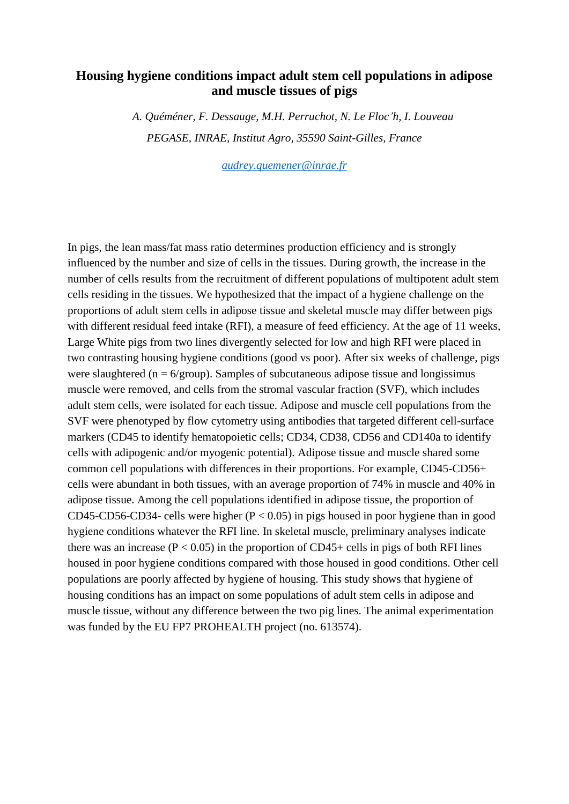## **Housing hygiene conditions impact adult stem cell populations in adipose and muscle tissues of pigs**

*A. Quéméner, F. Dessauge, M.H. Perruchot, N. Le Floc'h, I. Louveau PEGASE, INRAE, Institut Agro, 35590 Saint-Gilles, France*

*[audrey.quemener@inrae.fr](mailto:audrey.quemener@inrae.fr)*

In pigs, the lean mass/fat mass ratio determines production efficiency and is strongly influenced by the number and size of cells in the tissues. During growth, the increase in the number of cells results from the recruitment of different populations of multipotent adult stem cells residing in the tissues. We hypothesized that the impact of a hygiene challenge on the proportions of adult stem cells in adipose tissue and skeletal muscle may differ between pigs with different residual feed intake (RFI), a measure of feed efficiency. At the age of 11 weeks, Large White pigs from two lines divergently selected for low and high RFI were placed in two contrasting housing hygiene conditions (good vs poor). After six weeks of challenge, pigs were slaughtered ( $n = 6$ /group). Samples of subcutaneous adipose tissue and longissimus muscle were removed, and cells from the stromal vascular fraction (SVF), which includes adult stem cells, were isolated for each tissue. Adipose and muscle cell populations from the SVF were phenotyped by flow cytometry using antibodies that targeted different cell-surface markers (CD45 to identify hematopoietic cells; CD34, CD38, CD56 and CD140a to identify cells with adipogenic and/or myogenic potential). Adipose tissue and muscle shared some common cell populations with differences in their proportions. For example, CD45-CD56+ cells were abundant in both tissues, with an average proportion of 74% in muscle and 40% in adipose tissue. Among the cell populations identified in adipose tissue, the proportion of CD45-CD56-CD34- cells were higher ( $P < 0.05$ ) in pigs housed in poor hygiene than in good hygiene conditions whatever the RFI line. In skeletal muscle, preliminary analyses indicate there was an increase ( $P < 0.05$ ) in the proportion of CD45+ cells in pigs of both RFI lines housed in poor hygiene conditions compared with those housed in good conditions. Other cell populations are poorly affected by hygiene of housing. This study shows that hygiene of housing conditions has an impact on some populations of adult stem cells in adipose and muscle tissue, without any difference between the two pig lines. The animal experimentation was funded by the EU FP7 PROHEALTH project (no. 613574).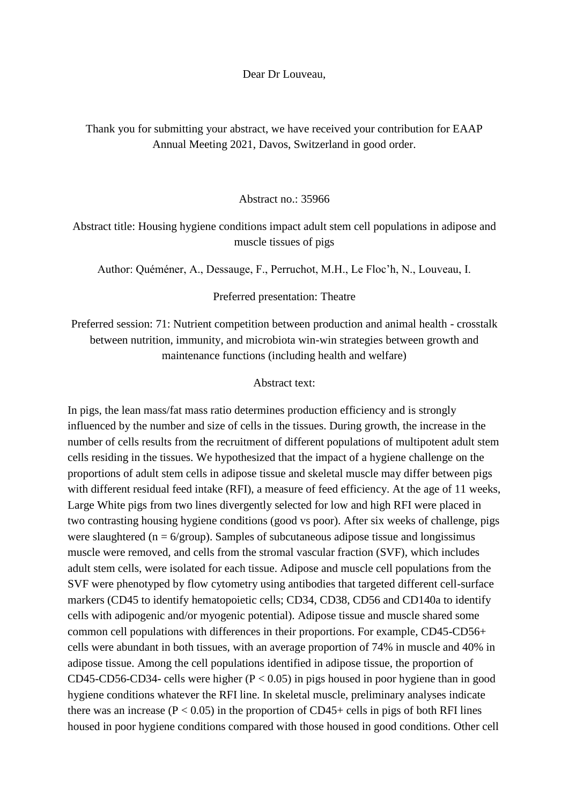Dear Dr Louveau,

Thank you for submitting your abstract, we have received your contribution for EAAP Annual Meeting 2021, Davos, Switzerland in good order.

Abstract no $.35966$ 

Abstract title: Housing hygiene conditions impact adult stem cell populations in adipose and muscle tissues of pigs

Author: Quéméner, A., Dessauge, F., Perruchot, M.H., Le Floc'h, N., Louveau, I.

Preferred presentation: Theatre

Preferred session: 71: Nutrient competition between production and animal health - crosstalk between nutrition, immunity, and microbiota win-win strategies between growth and maintenance functions (including health and welfare)

Abstract text:

In pigs, the lean mass/fat mass ratio determines production efficiency and is strongly influenced by the number and size of cells in the tissues. During growth, the increase in the number of cells results from the recruitment of different populations of multipotent adult stem cells residing in the tissues. We hypothesized that the impact of a hygiene challenge on the proportions of adult stem cells in adipose tissue and skeletal muscle may differ between pigs with different residual feed intake (RFI), a measure of feed efficiency. At the age of 11 weeks, Large White pigs from two lines divergently selected for low and high RFI were placed in two contrasting housing hygiene conditions (good vs poor). After six weeks of challenge, pigs were slaughtered ( $n = 6$ /group). Samples of subcutaneous adipose tissue and longissimus muscle were removed, and cells from the stromal vascular fraction (SVF), which includes adult stem cells, were isolated for each tissue. Adipose and muscle cell populations from the SVF were phenotyped by flow cytometry using antibodies that targeted different cell-surface markers (CD45 to identify hematopoietic cells; CD34, CD38, CD56 and CD140a to identify cells with adipogenic and/or myogenic potential). Adipose tissue and muscle shared some common cell populations with differences in their proportions. For example, CD45-CD56+ cells were abundant in both tissues, with an average proportion of 74% in muscle and 40% in adipose tissue. Among the cell populations identified in adipose tissue, the proportion of CD45-CD56-CD34- cells were higher ( $P < 0.05$ ) in pigs housed in poor hygiene than in good hygiene conditions whatever the RFI line. In skeletal muscle, preliminary analyses indicate there was an increase ( $P < 0.05$ ) in the proportion of CD45+ cells in pigs of both RFI lines housed in poor hygiene conditions compared with those housed in good conditions. Other cell